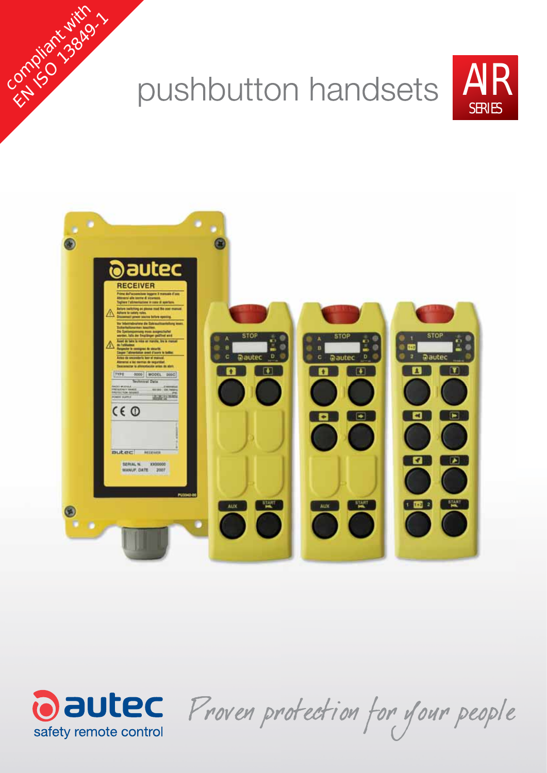





English Jakob

Oautec Proven protection for your people